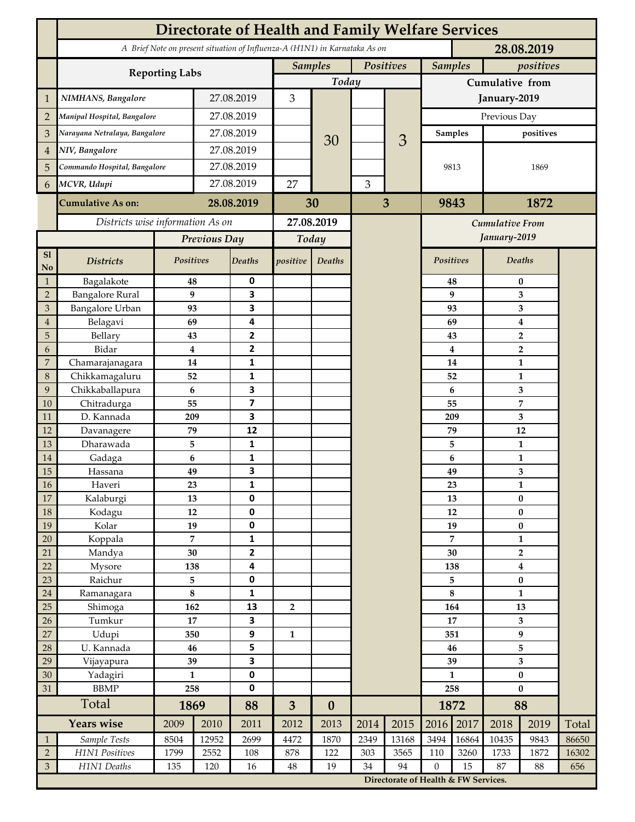|                                  | <b>Directorate of Health and Family Welfare Services</b>                                 |                             |                  |                              |                             |                  |      |                                      |                     |                         |                       |               |       |  |
|----------------------------------|------------------------------------------------------------------------------------------|-----------------------------|------------------|------------------------------|-----------------------------|------------------|------|--------------------------------------|---------------------|-------------------------|-----------------------|---------------|-------|--|
|                                  | A Brief Note on present situation of Influenza-A (H1N1) in Karnataka As on<br>28.08.2019 |                             |                  |                              |                             |                  |      |                                      |                     |                         |                       |               |       |  |
|                                  |                                                                                          | Positives<br><b>Samples</b> |                  |                              | <b>Samples</b><br>positives |                  |      |                                      |                     |                         |                       |               |       |  |
|                                  | <b>Reporting Labs</b>                                                                    | Today                       |                  |                              |                             | Cumulative from  |      |                                      |                     |                         |                       |               |       |  |
| $\mathbf 1$                      | NIMHANS, Bangalore                                                                       | 27.08.2019                  |                  | 3                            |                             |                  |      | January-2019                         |                     |                         |                       |               |       |  |
| $\overline{2}$                   | Manipal Hospital, Bangalore                                                              |                             |                  | 27.08.2019                   |                             |                  |      |                                      | Previous Day        |                         |                       |               |       |  |
| 3                                | Narayana Netralaya, Bangalore                                                            |                             |                  | 27.08.2019                   |                             |                  |      |                                      |                     | <b>Samples</b>          | positives             |               |       |  |
| 4                                | NIV, Bangalore                                                                           |                             |                  | 27.08.2019                   |                             | 30               |      | 3                                    |                     |                         |                       |               |       |  |
| 5                                | Commando Hospital, Bangalore                                                             |                             | 27.08.2019       |                              |                             |                  |      |                                      | 9813<br>9843        |                         | 1869                  |               |       |  |
| 6                                | MCVR, Udupi                                                                              |                             | 27.08.2019       |                              | 27                          |                  | 3    |                                      |                     |                         |                       |               |       |  |
|                                  | <b>Cumulative As on:</b>                                                                 |                             |                  |                              |                             |                  |      | $\overline{3}$                       |                     |                         | 1872                  |               |       |  |
|                                  |                                                                                          | 28.08.2019                  |                  | 30                           |                             |                  |      |                                      |                     |                         |                       |               |       |  |
|                                  | Districts wise information As on                                                         |                             |                  | 27.08.2019                   |                             |                  |      | Cumulative From<br>January-2019      |                     |                         |                       |               |       |  |
|                                  |                                                                                          | Previous Day                |                  | Today                        |                             |                  |      |                                      |                     |                         |                       |               |       |  |
| S1<br>N <sub>o</sub>             | <b>Districts</b>                                                                         | Positives                   |                  | <b>Deaths</b>                | positive                    | Deaths           |      |                                      | <b>Positives</b>    |                         |                       | <b>Deaths</b> |       |  |
| $\mathbf{1}$                     | Bagalakote                                                                               | 48                          |                  | 0                            |                             |                  |      |                                      |                     | 48                      | $\bf{0}$              |               |       |  |
| $\mathbf 2$                      | <b>Bangalore Rural</b>                                                                   |                             | 9                | $\overline{\mathbf{3}}$      |                             |                  |      |                                      |                     | 9                       | 3                     |               |       |  |
| $\ensuremath{\mathfrak{Z}}$<br>4 | <b>Bangalore Urban</b><br>Belagavi                                                       | 93<br>69                    |                  | 3<br>4                       |                             |                  |      | 93<br>69                             |                     | 3<br>4                  |                       |               |       |  |
| 5                                | Bellary                                                                                  | 43                          |                  | $\overline{2}$               |                             |                  |      |                                      |                     | 43                      | $\overline{2}$        |               |       |  |
| 6                                | Bidar                                                                                    |                             | $\boldsymbol{4}$ | $\overline{2}$               |                             |                  |      |                                      |                     | $\overline{\mathbf{4}}$ | $\overline{2}$        |               |       |  |
| 7                                | Chamarajanagara                                                                          | 14                          |                  | 1                            |                             |                  |      |                                      |                     | 14                      | $\mathbf{1}$          |               |       |  |
| $\,8\,$                          | Chikkamagaluru                                                                           | 52                          |                  | 1                            |                             |                  |      |                                      |                     | 52                      |                       | 1             |       |  |
| 9                                | Chikkaballapura                                                                          |                             | 6                | $\overline{\mathbf{3}}$      |                             |                  |      |                                      |                     | 6                       |                       | 3             |       |  |
| 10<br>11                         | Chitradurga<br>D. Kannada                                                                | 55<br>209                   |                  | $\overline{\mathbf{z}}$<br>3 |                             |                  |      |                                      |                     | 55<br>209               |                       | 7             |       |  |
| 12                               | Davanagere                                                                               | 79                          |                  | 12                           |                             |                  |      |                                      |                     | 79                      | 3<br>12               |               |       |  |
| 13                               | Dharawada                                                                                |                             | 5                | 1                            |                             |                  |      |                                      |                     | 5                       | $\mathbf{1}$          |               |       |  |
| 14                               | Gadaga                                                                                   | 6                           |                  | $\mathbf{1}$                 |                             |                  |      |                                      |                     | 6                       | $\mathbf{1}$          |               |       |  |
| 15                               | Hassana                                                                                  | 49                          |                  | 3                            |                             |                  |      |                                      |                     | 49                      | 3                     |               |       |  |
| 16                               | Haveri                                                                                   | 23                          |                  | 1                            |                             |                  |      |                                      |                     | 23                      | $\mathbf{1}$          |               |       |  |
| 17<br>$18\,$                     | Kalaburgi                                                                                | 13<br>12                    |                  | $\mathbf 0$<br>$\pmb{0}$     |                             |                  |      |                                      | 13<br>12            |                         | $\bf{0}$<br>$\pmb{0}$ |               |       |  |
| 19                               | Kodagu<br>Kolar                                                                          | 19                          |                  | $\pmb{0}$                    |                             |                  |      |                                      | 19                  |                         | $\bf{0}$              |               |       |  |
| 20                               | Koppala                                                                                  | $\overline{7}$              |                  | $\mathbf 1$                  |                             |                  |      |                                      | 7                   |                         | $\mathbf{1}$          |               |       |  |
| 21                               | Mandya                                                                                   |                             | 30               | $\mathbf{2}$                 |                             |                  |      |                                      | 30                  |                         | $\overline{2}$        |               |       |  |
| 22                               | Mysore                                                                                   | 138                         |                  | 4                            |                             |                  |      |                                      | 138                 |                         | $\boldsymbol{4}$      |               |       |  |
| $23\,$                           | Raichur                                                                                  | 5                           |                  | $\pmb{0}$                    |                             |                  |      |                                      | 5                   |                         | $\pmb{0}$             |               |       |  |
| $24\,$<br>25                     | Ramanagara<br>Shimoga                                                                    | $\bf 8$<br>162              |                  | $\mathbf{1}$<br>13           | $\overline{2}$              |                  |      |                                      | $\bf 8$<br>164      |                         | 1<br>13               |               |       |  |
| 26                               | Tumkur                                                                                   | 17                          |                  | $\overline{\mathbf{3}}$      |                             |                  |      |                                      | 17                  |                         | 3                     |               |       |  |
| 27                               | Udupi                                                                                    | 350                         |                  | $\boldsymbol{9}$             | $\mathbf{1}$                |                  |      |                                      | 351                 |                         | 9                     |               |       |  |
| $28\,$                           | U. Kannada                                                                               | 46                          |                  | 5                            |                             |                  |      |                                      | 46                  |                         | 5                     |               |       |  |
| 29                               | Vijayapura                                                                               | 39                          |                  | $\overline{\mathbf{3}}$      |                             |                  |      |                                      | 39                  |                         | 3                     |               |       |  |
| 30                               | Yadagiri                                                                                 | $\mathbf{1}$<br>258         |                  | $\pmb{0}$<br>$\mathbf 0$     |                             |                  |      |                                      | $\mathbf{1}$<br>258 |                         | $\bf{0}$<br>$\bf{0}$  |               |       |  |
| 31                               | <b>BBMP</b><br>Total                                                                     | 1869                        |                  | 88                           | 3                           | $\boldsymbol{0}$ |      |                                      | 1872                |                         | 88                    |               |       |  |
|                                  | <b>Years wise</b>                                                                        | 2009<br>2010                |                  | 2011                         | 2012                        | 2013             | 2014 | 2015                                 | 2016                | 2017                    | 2018                  | 2019          | Total |  |
| $\mathbf{1}$                     | Sample Tests                                                                             | 8504                        | 12952            | 2699                         | 4472                        | 1870             | 2349 | 13168                                | 3494                | 16864                   | 10435                 | 9843          | 86650 |  |
| $\overline{2}$                   | H1N1 Positives                                                                           | 1799                        | 2552             | 108                          | 878                         | 122              | 303  | 3565                                 | 110                 | 3260                    | 1733                  | 1872          | 16302 |  |
| $\mathfrak{Z}$                   | H1N1 Deaths                                                                              | 135                         | 120              | 16                           | $\rm 48$                    | 19               | 34   | 94                                   | $\boldsymbol{0}$    | 15                      | 87                    | 88            | 656   |  |
|                                  |                                                                                          |                             |                  |                              |                             |                  |      | Directorate of Health & FW Services. |                     |                         |                       |               |       |  |